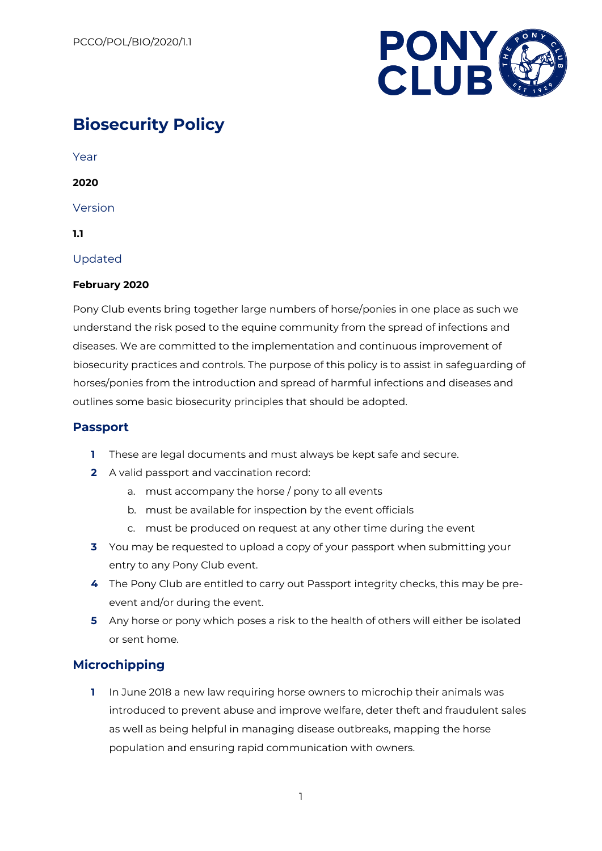

# **Biosecurity Policy**

Year

**2020**

Version

**1.1**

Updated

### **February 2020**

Pony Club events bring together large numbers of horse/ponies in one place as such we understand the risk posed to the equine community from the spread of infections and diseases. We are committed to the implementation and continuous improvement of biosecurity practices and controls. The purpose of this policy is to assist in safeguarding of horses/ponies from the introduction and spread of harmful infections and diseases and outlines some basic biosecurity principles that should be adopted.

### **Passport**

- **1** These are legal documents and must always be kept safe and secure.
- **2** A valid passport and vaccination record:
	- a. must accompany the horse / pony to all events
	- b. must be available for inspection by the event officials
	- c. must be produced on request at any other time during the event
- **3** You may be requested to upload a copy of your passport when submitting your entry to any Pony Club event.
- **4** The Pony Club are entitled to carry out Passport integrity checks, this may be preevent and/or during the event.
- **5** Any horse or pony which poses a risk to the health of others will either be isolated or sent home.

## **Microchipping**

**1** In June 2018 a new law requiring horse owners to microchip their animals was introduced to prevent abuse and improve welfare, deter theft and fraudulent sales as well as being helpful in managing disease outbreaks, mapping the horse population and ensuring rapid communication with owners.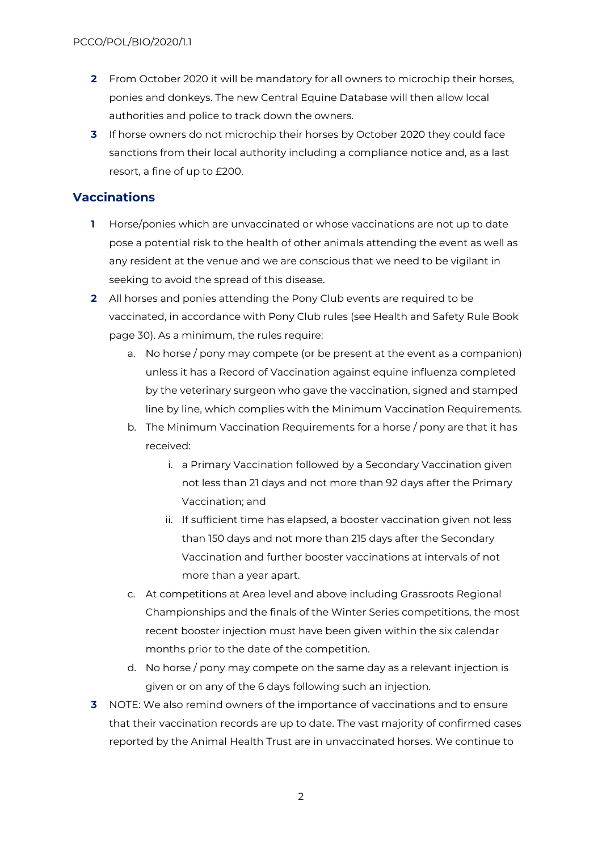- **2** From October 2020 it will be mandatory for all owners to microchip their horses, ponies and donkeys. The new Central Equine Database will then allow local authorities and police to track down the owners.
- **3** If horse owners do not microchip their horses by October 2020 they could face sanctions from their local authority including a compliance notice and, as a last resort, a fine of up to £200.

### **Vaccinations**

- **1** Horse/ponies which are unvaccinated or whose vaccinations are not up to date pose a potential risk to the health of other animals attending the event as well as any resident at the venue and we are conscious that we need to be vigilant in seeking to avoid the spread of this disease.
- **2** All horses and ponies attending the Pony Club events are required to be vaccinated, in accordance with Pony Club rules (see Health and Safety Rule Book page 30). As a minimum, the rules require:
	- a. No horse / pony may compete (or be present at the event as a companion) unless it has a Record of Vaccination against equine influenza completed by the veterinary surgeon who gave the vaccination, signed and stamped line by line, which complies with the Minimum Vaccination Requirements.
	- b. The Minimum Vaccination Requirements for a horse / pony are that it has received:
		- i. a Primary Vaccination followed by a Secondary Vaccination given not less than 21 days and not more than 92 days after the Primary Vaccination; and
		- ii. If sufficient time has elapsed, a booster vaccination given not less than 150 days and not more than 215 days after the Secondary Vaccination and further booster vaccinations at intervals of not more than a year apart.
	- c. At competitions at Area level and above including Grassroots Regional Championships and the finals of the Winter Series competitions, the most recent booster injection must have been given within the six calendar months prior to the date of the competition.
	- d. No horse / pony may compete on the same day as a relevant injection is given or on any of the 6 days following such an injection.
- **3** NOTE: We also remind owners of the importance of vaccinations and to ensure that their vaccination records are up to date. The vast majority of confirmed cases reported by the Animal Health Trust are in unvaccinated horses. We continue to